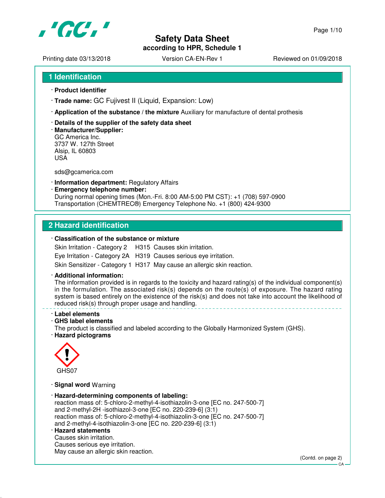

## **Safety Data Sheet according to HPR, Schedule 1**

Printing date 03/13/2018 <br>
Version CA-EN-Rev 1 Reviewed on 01/09/2018

- · **Product identifier**
- · **Trade name:** GC Fujivest II (Liquid, Expansion: Low)
- · **Application of the substance / the mixture** Auxiliary for manufacture of dental prothesis
- · **Details of the supplier of the safety data sheet**
- · **Manufacturer/Supplier:** GC America Inc. 3737 W. 127th Street Alsip, IL 60803 USA

sds@gcamerica.com

- · **Information department:** Regulatory Affairs
- · **Emergency telephone number:** During normal opening times (Mon.-Fri. 8:00 AM-5:00 PM CST): +1 (708) 597-0900 Transportation (CHEMTREC®) Emergency Telephone No. +1 (800) 424-9300

### **2 Hazard identification**

### · **Classification of the substance or mixture**

Skin Irritation - Category 2 H315 Causes skin irritation.

Eye Irritation - Category 2A H319 Causes serious eye irritation.

Skin Sensitizer - Category 1 H317 May cause an allergic skin reaction.

#### · **Additional information:**

The information provided is in regards to the toxicity and hazard rating(s) of the individual component(s) in the formulation. The associated risk(s) depends on the route(s) of exposure. The hazard rating system is based entirely on the existence of the risk(s) and does not take into account the likelihood of reduced risk(s) through proper usage and handling.

- · **Label elements**
- · **GHS label elements**

The product is classified and labeled according to the Globally Harmonized System (GHS).

· **Hazard pictograms**



· **Signal word** Warning

- · **Hazard-determining components of labeling:** reaction mass of: 5-chloro-2-methyl-4-isothiazolin-3-one [EC no. 247-500-7] and 2-methyl-2H -isothiazol-3-one [EC no. 220-239-6] (3:1) reaction mass of: 5-chloro-2-methyl-4-isothiazolin-3-one [EC no. 247-500-7] and 2-methyl-4-isothiazolin-3-one [EC no. 220-239-6] (3:1) · **Hazard statements**
- Causes skin irritation.

Causes serious eye irritation. May cause an allergic skin reaction.

(Contd. on page 2)

CA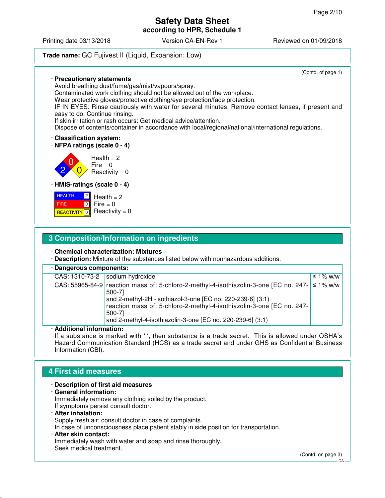### **Safety Data Sheet according to HPR, Schedule 1**

Printing date 03/13/2018 Version CA-EN-Rev 1 Reviewed on 01/09/2018

**Trade name:** GC Fujivest II (Liquid, Expansion: Low)

(Contd. of page 1) · **Precautionary statements** Avoid breathing dust/fume/gas/mist/vapours/spray. Contaminated work clothing should not be allowed out of the workplace. Wear protective gloves/protective clothing/eye protection/face protection. IF IN EYES: Rinse cautiously with water for several minutes. Remove contact lenses, if present and easy to do. Continue rinsing. If skin irritation or rash occurs: Get medical advice/attention. Dispose of contents/container in accordance with local/regional/national/international regulations. · **Classification system:** · **NFPA ratings (scale 0 - 4)** 2 0  $\overline{0}$  $Health = 2$ Fire  $= 0$  $Reactivity = 0$ · **HMIS-ratings (scale 0 - 4) HEALTH**  FIRE <mark>REACTIVITY</mark> 0 2  $\boxed{0}$  $Health = 2$  $Fire = 0$  $Reactivity = 0$ 

## **3 Composition/Information on ingredients**

#### · **Chemical characterization: Mixtures**

· **Description:** Mixture of the substances listed below with nonhazardous additions.

#### · **Dangerous components:**

| CAS: 1310-73-2   sodium hydroxide |                                                                                                                                                                                                                                                                                                                | ≤ 1% w/w      |
|-----------------------------------|----------------------------------------------------------------------------------------------------------------------------------------------------------------------------------------------------------------------------------------------------------------------------------------------------------------|---------------|
|                                   | CAS: 55965-84-9 reaction mass of: 5-chloro-2-methyl-4-isothiazolin-3-one [EC no. 247-<br>500-71<br>and 2-methyl-2H -isothiazol-3-one [EC no. 220-239-6] (3:1)<br>reaction mass of: 5-chloro-2-methyl-4-isothiazolin-3-one [EC no. 247-<br>500-71<br>and 2-methyl-4-isothiazolin-3-one [EC no. 220-239-6] (3:1) | $\leq$ 1% w/w |

#### · **Additional information:**

If a substance is marked with \*\*, then substance is a trade secret. This is allowed under OSHA's Hazard Communication Standard (HCS) as a trade secret and under GHS as Confidential Business Information (CBI).

## **4 First aid measures**

### · **Description of first aid measures**

- · **General information:** Immediately remove any clothing soiled by the product. If symptoms persist consult doctor.
- · **After inhalation:** Supply fresh air; consult doctor in case of complaints. In case of unconsciousness place patient stably in side position for transportation. · **After skin contact:**
- Immediately wash with water and soap and rinse thoroughly. Seek medical treatment.

(Contd. on page 3)

 $C<sub>A</sub>$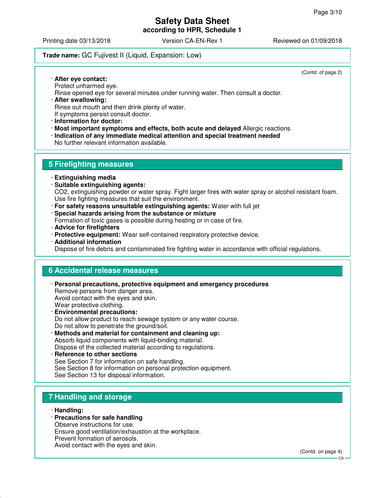### **Safety Data Sheet according to HPR, Schedule 1**

Printing date 03/13/2018 Version CA-EN-Rev 1 Reviewed on 01/09/2018

### **Trade name:** GC Fujivest II (Liquid, Expansion: Low)

(Contd. of page 2)

· **After eye contact:** Protect unharmed eye. Rinse opened eye for several minutes under running water. Then consult a doctor. · **After swallowing:**

Rinse out mouth and then drink plenty of water. If symptoms persist consult doctor.

· **Information for doctor:**

· **Most important symptoms and effects, both acute and delayed** Allergic reactions

· **Indication of any immediate medical attention and special treatment needed**

No further relevant information available.

### **5 Firefighting measures**

- · **Extinguishing media**
- · **Suitable extinguishing agents:** CO2, extinguishing powder or water spray. Fight larger fires with water spray or alcohol resistant foam. Use fire fighting measures that suit the environment.
- · **For safety reasons unsuitable extinguishing agents:** Water with full jet
- · **Special hazards arising from the substance or mixture**

Formation of toxic gases is possible during heating or in case of fire.

- · **Advice for firefighters**
- · **Protective equipment:** Wear self-contained respiratory protective device.
- · **Additional information**

Dispose of fire debris and contaminated fire fighting water in accordance with official regulations.

### **6 Accidental release measures**

- · **Personal precautions, protective equipment and emergency procedures** Remove persons from danger area. Avoid contact with the eyes and skin. Wear protective clothing. · **Environmental precautions:**
- Do not allow product to reach sewage system or any water course. Do not allow to penetrate the ground/soil.
- · **Methods and material for containment and cleaning up:** Absorb liquid components with liquid-binding material. Dispose of the collected material according to regulations.
- · **Reference to other sections** See Section 7 for information on safe handling. See Section 8 for information on personal protection equipment. See Section 13 for disposal information.

## **7 Handling and storage**

- · **Handling:**
- · **Precautions for safe handling**

Observe instructions for use.

Ensure good ventilation/exhaustion at the workplace.

Prevent formation of aerosols.

Avoid contact with the eyes and skin.

(Contd. on page 4)

CA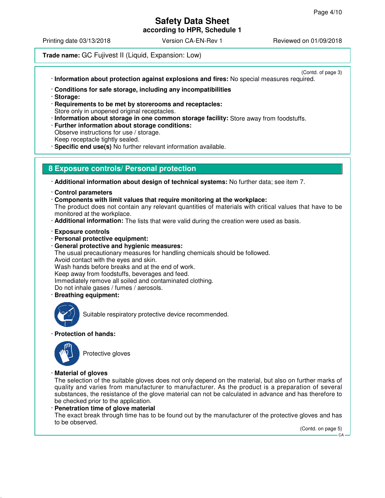**according to HPR, Schedule 1**

Printing date 03/13/2018 Version CA-EN-Rev 1 Reviewed on 01/09/2018

### **Trade name:** GC Fujivest II (Liquid, Expansion: Low)

(Contd. of page 3)

· **Information about protection against explosions and fires:** No special measures required.

- · **Conditions for safe storage, including any incompatibilities**
- · **Storage:**
- · **Requirements to be met by storerooms and receptacles:** Store only in unopened original receptacles.
- · **Information about storage in one common storage facility:** Store away from foodstuffs.
- · **Further information about storage conditions:** Observe instructions for use / storage. Keep receptacle tightly sealed.
- · **Specific end use(s)** No further relevant information available.

### **8 Exposure controls/ Personal protection**

- · **Additional information about design of technical systems:** No further data; see item 7.
- · **Control parameters**
- · **Components with limit values that require monitoring at the workplace:** The product does not contain any relevant quantities of materials with critical values that have to be monitored at the workplace.
- · **Additional information:** The lists that were valid during the creation were used as basis.
- · **Exposure controls**
- · **Personal protective equipment:**
- · **General protective and hygienic measures:**
- The usual precautionary measures for handling chemicals should be followed.
- Avoid contact with the eyes and skin.

Wash hands before breaks and at the end of work.

Keep away from foodstuffs, beverages and feed.

- Immediately remove all soiled and contaminated clothing.
- Do not inhale gases / fumes / aerosols.
- · **Breathing equipment:**



Suitable respiratory protective device recommended.

### · **Protection of hands:**



Protective gloves

### · **Material of gloves**

The selection of the suitable gloves does not only depend on the material, but also on further marks of quality and varies from manufacturer to manufacturer. As the product is a preparation of several substances, the resistance of the glove material can not be calculated in advance and has therefore to be checked prior to the application.

· **Penetration time of glove material**

The exact break through time has to be found out by the manufacturer of the protective gloves and has to be observed.

(Contd. on page 5)

CA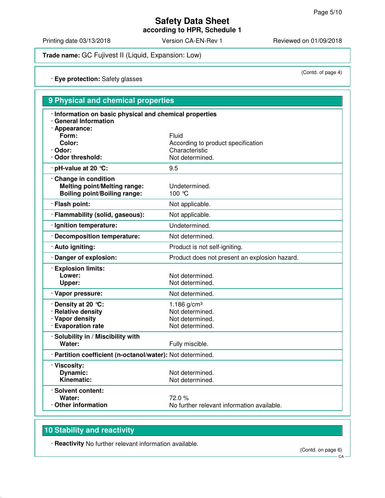(Contd. of page 4)

# **Safety Data Sheet**

**according to HPR, Schedule 1**

Printing date 03/13/2018 Version CA-EN-Rev 1 Reviewed on 01/09/2018

**Trade name:** GC Fujivest II (Liquid, Expansion: Low)

· **Eye protection:** Safety glasses

| 9 Physical and chemical properties                                                                |                                                                                  |  |  |
|---------------------------------------------------------------------------------------------------|----------------------------------------------------------------------------------|--|--|
| · Information on basic physical and chemical properties<br>· General Information                  |                                                                                  |  |  |
| · Appearance:<br>Form:<br>Color:<br>· Odor:<br>Odor threshold:                                    | Fluid<br>According to product specification<br>Characteristic<br>Not determined. |  |  |
| $\cdot$ pH-value at 20 °C:                                                                        | 9.5                                                                              |  |  |
| Change in condition<br><b>Melting point/Melting range:</b><br><b>Boiling point/Boiling range:</b> | Undetermined.<br>100 °C                                                          |  |  |
| · Flash point:                                                                                    | Not applicable.                                                                  |  |  |
| · Flammability (solid, gaseous):                                                                  | Not applicable.                                                                  |  |  |
| · Ignition temperature:                                                                           | Undetermined.                                                                    |  |  |
| · Decomposition temperature:                                                                      | Not determined.                                                                  |  |  |
| · Auto igniting:                                                                                  | Product is not self-igniting.                                                    |  |  |
| · Danger of explosion:                                                                            | Product does not present an explosion hazard.                                    |  |  |
| · Explosion limits:<br>Lower:<br>Upper:                                                           | Not determined.<br>Not determined.                                               |  |  |
| · Vapor pressure:                                                                                 | Not determined.                                                                  |  |  |
| . Density at 20 ℃:<br>· Relative density<br>· Vapor density<br>· Evaporation rate                 | 1.186 $g/cm^{3}$<br>Not determined.<br>Not determined.<br>Not determined.        |  |  |
| · Solubility in / Miscibility with<br>Water:                                                      | Fully miscible.                                                                  |  |  |
| · Partition coefficient (n-octanol/water): Not determined.                                        |                                                                                  |  |  |
| · Viscosity:<br><b>Dynamic:</b><br>Kinematic:                                                     | Not determined.<br>Not determined.                                               |  |  |
| · Solvent content:<br>Water:<br>⋅ Other information                                               | 72.0%<br>No further relevant information available.                              |  |  |

## **10 Stability and reactivity**

· **Reactivity** No further relevant information available.

(Contd. on page 6)

**CA**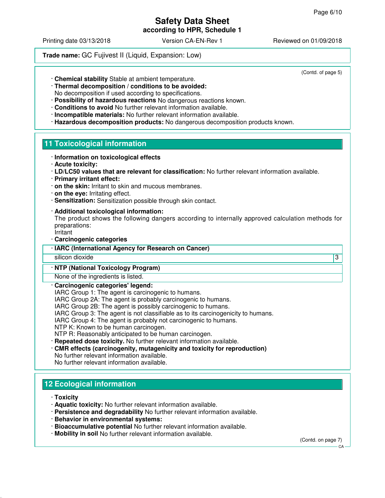(Contd. of page 5)

## **Safety Data Sheet**

**according to HPR, Schedule 1**

Printing date 03/13/2018 Version CA-EN-Rev 1 Reviewed on 01/09/2018

**Trade name:** GC Fujivest II (Liquid, Expansion: Low)

· **Chemical stability** Stable at ambient temperature.

- · **Thermal decomposition / conditions to be avoided:** No decomposition if used according to specifications.
- · **Possibility of hazardous reactions** No dangerous reactions known.
- · **Conditions to avoid** No further relevant information available.
- · **Incompatible materials:** No further relevant information available.
- · **Hazardous decomposition products:** No dangerous decomposition products known.

### **11 Toxicological information**

- · **Information on toxicological effects**
- · **Acute toxicity:**
- · **LD/LC50 values that are relevant for classification:** No further relevant information available.
- · **Primary irritant effect:**
- · **on the skin:** Irritant to skin and mucous membranes.
- · **on the eye:** Irritating effect.
- · **Sensitization:** Sensitization possible through skin contact.
- · **Additional toxicological information:**
- The product shows the following dangers according to internally approved calculation methods for preparations:
- Irritant
- · **Carcinogenic categories**

#### · **IARC (International Agency for Research on Cancer)**

silicon dioxide 3

### · **NTP (National Toxicology Program)**

None of the ingredients is listed.

#### · **Carcinogenic categories' legend:**

IARC Group 1: The agent is carcinogenic to humans.

- IARC Group 2A: The agent is probably carcinogenic to humans.
- IARC Group 2B: The agent is possibly carcinogenic to humans.
- IARC Group 3: The agent is not classifiable as to its carcinogenicity to humans.
- IARC Group 4: The agent is probably not carcinogenic to humans.
- NTP K: Known to be human carcinogen.
- NTP R: Reasonably anticipated to be human carcinogen.
- · **Repeated dose toxicity.** No further relevant information available.
- · **CMR effects (carcinogenity, mutagenicity and toxicity for reproduction)** No further relevant information available.
- No further relevant information available.

## **12 Ecological information**

- · **Toxicity**
- · **Aquatic toxicity:** No further relevant information available.
- · **Persistence and degradability** No further relevant information available.
- · **Behavior in environmental systems:**
- · **Bioaccumulative potential** No further relevant information available.
- · **Mobility in soil** No further relevant information available.

(Contd. on page 7)

CA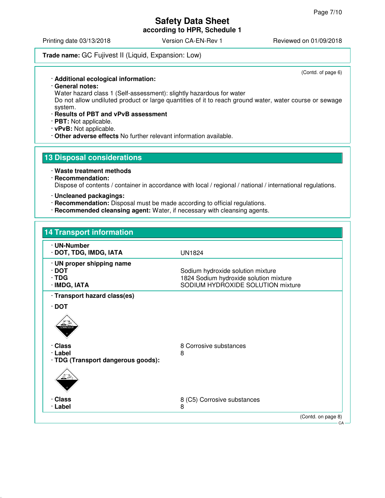**according to HPR, Schedule 1**

Printing date 03/13/2018 **Version CA-EN-Rev 1** Reviewed on 01/09/2018

### **Trade name:** GC Fujivest II (Liquid, Expansion: Low)

· **Additional ecological information:**

· **General notes:**

Water hazard class 1 (Self-assessment): slightly hazardous for water

Do not allow undiluted product or large quantities of it to reach ground water, water course or sewage system.

### · **Results of PBT and vPvB assessment**

· **PBT:** Not applicable.

- · **vPvB:** Not applicable.
- · **Other adverse effects** No further relevant information available.

### **13 Disposal considerations**

· **Waste treatment methods**

· **Recommendation:**

Dispose of contents / container in accordance with local / regional / national / international regulations.

- · **Uncleaned packagings:**
- · **Recommendation:** Disposal must be made according to official regulations.
- · **Recommended cleansing agent:** Water, if necessary with cleansing agents.

## **14 Transport information** · **UN-Number** · **DOT, TDG, IMDG, IATA** UN1824 · **UN proper shipping name** · **DOT** Sodium hydroxide solution mixture · **TDG** 1824 Sodium hydroxide solution mixture **SODIUM HYDROXIDE SOLUTION mixture** · **Transport hazard class(es)** · **DOT Class** 8 Corrosive substances · **Label** 8 · **TDG (Transport dangerous goods):** · **Class** 8 (C5) Corrosive substances · **Label** 8 (Contd. on page 8)

(Contd. of page 6)

CA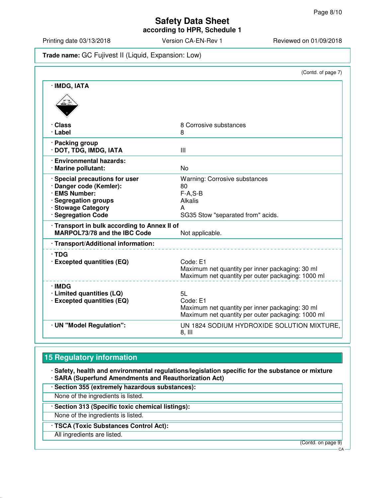**according to HPR, Schedule 1**

Printing date 03/13/2018 Version CA-EN-Rev 1 Reviewed on 01/09/2018

### **Trade name:** GC Fujivest II (Liquid, Expansion: Low)

|                                                                                                                                                | (Contd. of page 7)                                                                                                     |
|------------------------------------------------------------------------------------------------------------------------------------------------|------------------------------------------------------------------------------------------------------------------------|
| · IMDG, IATA                                                                                                                                   |                                                                                                                        |
| · Class<br>· Label                                                                                                                             | 8 Corrosive substances<br>8                                                                                            |
| · Packing group<br>· DOT, TDG, IMDG, IATA                                                                                                      | III                                                                                                                    |
| · Environmental hazards:<br>· Marine pollutant:                                                                                                | No                                                                                                                     |
| · Special precautions for user<br>· Danger code (Kemler):<br>· EMS Number:<br>· Segregation groups<br>· Stowage Category<br>· Segregation Code | <b>Warning: Corrosive substances</b><br>80<br>$F-A.S-B$<br><b>Alkalis</b><br>A<br>SG35 Stow "separated from" acids.    |
| · Transport in bulk according to Annex II of<br><b>MARPOL73/78 and the IBC Code</b>                                                            | Not applicable.                                                                                                        |
| · Transport/Additional information:                                                                                                            |                                                                                                                        |
| $\cdot$ TDG<br>· Excepted quantities (EQ)                                                                                                      | Code: E1<br>Maximum net quantity per inner packaging: 30 ml<br>Maximum net quantity per outer packaging: 1000 ml       |
| · IMDG<br>· Limited quantities (LQ)<br>· Excepted quantities (EQ)                                                                              | 5L<br>Code: E1<br>Maximum net quantity per inner packaging: 30 ml<br>Maximum net quantity per outer packaging: 1000 ml |
| · UN "Model Regulation":                                                                                                                       | UN 1824 SODIUM HYDROXIDE SOLUTION MIXTURE.<br>$8,$ III                                                                 |

## **15 Regulatory information**

· **Safety, health and environmental regulations/legislation specific for the substance or mixture** · **SARA (Superfund Amendments and Reauthorization Act)**

· **Section 355 (extremely hazardous substances):**

None of the ingredients is listed.

· **Section 313 (Specific toxic chemical listings):**

None of the ingredients is listed.

· **TSCA (Toxic Substances Control Act):**

All ingredients are listed.

(Contd. on page 9)

CA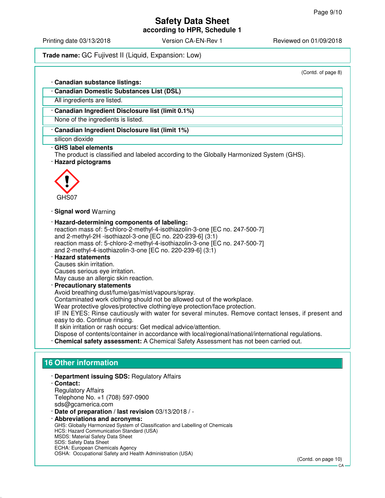**according to HPR, Schedule 1**

Printing date 03/13/2018 Version CA-EN-Rev 1 Reviewed on 01/09/2018

**Trade name:** GC Fujivest II (Liquid, Expansion: Low)

(Contd. of page 8)

| (Contd. of page 8)                                                                                                                                                                                                                                                       |  |
|--------------------------------------------------------------------------------------------------------------------------------------------------------------------------------------------------------------------------------------------------------------------------|--|
| · Canadian substance listings:                                                                                                                                                                                                                                           |  |
| · Canadian Domestic Substances List (DSL)                                                                                                                                                                                                                                |  |
| All ingredients are listed.                                                                                                                                                                                                                                              |  |
| · Canadian Ingredient Disclosure list (limit 0.1%)                                                                                                                                                                                                                       |  |
| None of the ingredients is listed.                                                                                                                                                                                                                                       |  |
| Canadian Ingredient Disclosure list (limit 1%)                                                                                                                                                                                                                           |  |
| silicon dioxide                                                                                                                                                                                                                                                          |  |
| · GHS label elements<br>The product is classified and labeled according to the Globally Harmonized System (GHS).<br>· Hazard pictograms                                                                                                                                  |  |
| GHS07                                                                                                                                                                                                                                                                    |  |
| · Signal word Warning                                                                                                                                                                                                                                                    |  |
| · Hazard-determining components of labeling:<br>reaction mass of: 5-chloro-2-methyl-4-isothiazolin-3-one [EC no. 247-500-7]<br>and 2-methyl-2H -isothiazol-3-one [EC no. 220-239-6] (3:1)<br>reaction mass of: 5-chloro-2-methyl-4-isothiazolin-3-one [EC no. 247-500-7] |  |
| and 2-methyl-4-isothiazolin-3-one [EC no. 220-239-6] (3:1)<br><b>Hazard statements</b><br>Causes skin irritation.<br>Causes serious eye irritation.                                                                                                                      |  |
| May cause an allergic skin reaction.<br>· Precautionary statements                                                                                                                                                                                                       |  |
| Avoid breathing dust/fume/gas/mist/vapours/spray.                                                                                                                                                                                                                        |  |
| Contaminated work clothing should not be allowed out of the workplace.                                                                                                                                                                                                   |  |
| Wear protective gloves/protective clothing/eye protection/face protection.                                                                                                                                                                                               |  |
| IF IN EYES: Rinse cautiously with water for several minutes. Remove contact lenses, if present and<br>easy to do. Continue rinsing.                                                                                                                                      |  |
| If skin irritation or rash occurs: Get medical advice/attention.                                                                                                                                                                                                         |  |
| Dispose of contents/container in accordance with local/regional/national/international regulations.<br>· Chemical safety assessment: A Chemical Safety Assessment has not been carried out.                                                                              |  |
|                                                                                                                                                                                                                                                                          |  |
| <b>16 Other information</b>                                                                                                                                                                                                                                              |  |
| · Department issuing SDS: Regulatory Affairs                                                                                                                                                                                                                             |  |
| · Contact:<br><b>Regulatory Affairs</b>                                                                                                                                                                                                                                  |  |
| Telephone No. +1 (708) 597-0900                                                                                                                                                                                                                                          |  |
| sds@gcamerica.com                                                                                                                                                                                                                                                        |  |
| Date of preparation / last revision 03/13/2018 / -                                                                                                                                                                                                                       |  |
| · Abbreviations and acronyms:<br>GHS: Globally Harmonized System of Classification and Labelling of Chemicals                                                                                                                                                            |  |
| HCS: Hazard Communication Standard (USA)                                                                                                                                                                                                                                 |  |

MSDS: Material Safety Data Sheet SDS: Safety Data Sheet ECHA: European Chemicals Agency

OSHA: Occupational Safety and Health Administration (USA)

(Contd. on page 10)